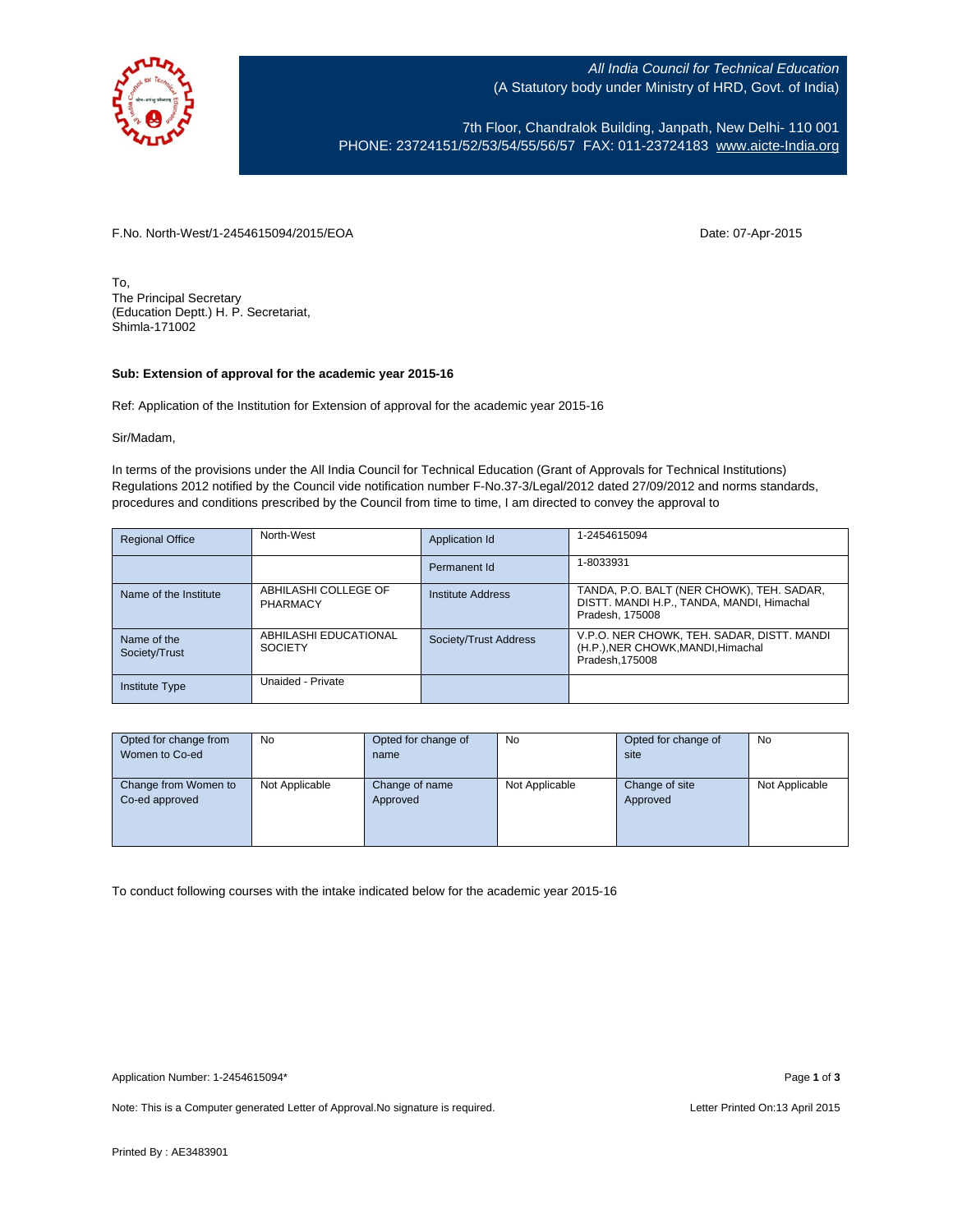

All India Council for Technical Education (A Statutory body under Ministry of HRD, Govt. of India)

7th Floor, Chandralok Building, Janpath, New Delhi- 110 001 PHONE: 23724151/52/53/54/55/56/57 FAX: 011-23724183 [www.aicte-India.org](http://www.aicte-india.org/)

F.No. North-West/1-2454615094/2015/EOA Date: 07-Apr-2015

To, The Principal Secretary (Education Deptt.) H. P. Secretariat, Shimla-171002

## **Sub: Extension of approval for the academic year 2015-16**

Ref: Application of the Institution for Extension of approval for the academic year 2015-16

Sir/Madam,

In terms of the provisions under the All India Council for Technical Education (Grant of Approvals for Technical Institutions) Regulations 2012 notified by the Council vide notification number F-No.37-3/Legal/2012 dated 27/09/2012 and norms standards, procedures and conditions prescribed by the Council from time to time, I am directed to convey the approval to

| <b>Regional Office</b>       | North-West                              | Application Id        | 1-2454615094                                                                                              |
|------------------------------|-----------------------------------------|-----------------------|-----------------------------------------------------------------------------------------------------------|
|                              |                                         | Permanent Id          | 1-8033931                                                                                                 |
| Name of the Institute        | ABHILASHI COLLEGE OF<br>PHARMACY        | Institute Address     | TANDA, P.O. BALT (NER CHOWK), TEH. SADAR,<br>DISTT. MANDI H.P., TANDA, MANDI, Himachal<br>Pradesh, 175008 |
| Name of the<br>Society/Trust | ABHILASHI EDUCATIONAL<br><b>SOCIETY</b> | Society/Trust Address | V.P.O. NER CHOWK, TEH. SADAR, DISTT. MANDI<br>(H.P.), NER CHOWK, MANDI, Himachal<br>Pradesh, 175008       |
| <b>Institute Type</b>        | Unaided - Private                       |                       |                                                                                                           |

| Opted for change from | No             | Opted for change of | No             | Opted for change of | No             |
|-----------------------|----------------|---------------------|----------------|---------------------|----------------|
| Women to Co-ed        |                | name                |                | site                |                |
|                       |                |                     |                |                     |                |
| Change from Women to  | Not Applicable | Change of name      | Not Applicable | Change of site      | Not Applicable |
| Co-ed approved        |                | Approved            |                | Approved            |                |
|                       |                |                     |                |                     |                |
|                       |                |                     |                |                     |                |
|                       |                |                     |                |                     |                |

To conduct following courses with the intake indicated below for the academic year 2015-16

Application Number: 1-2454615094\* Page **1** of **3**

Note: This is a Computer generated Letter of Approval. No signature is required. Letter Printed On:13 April 2015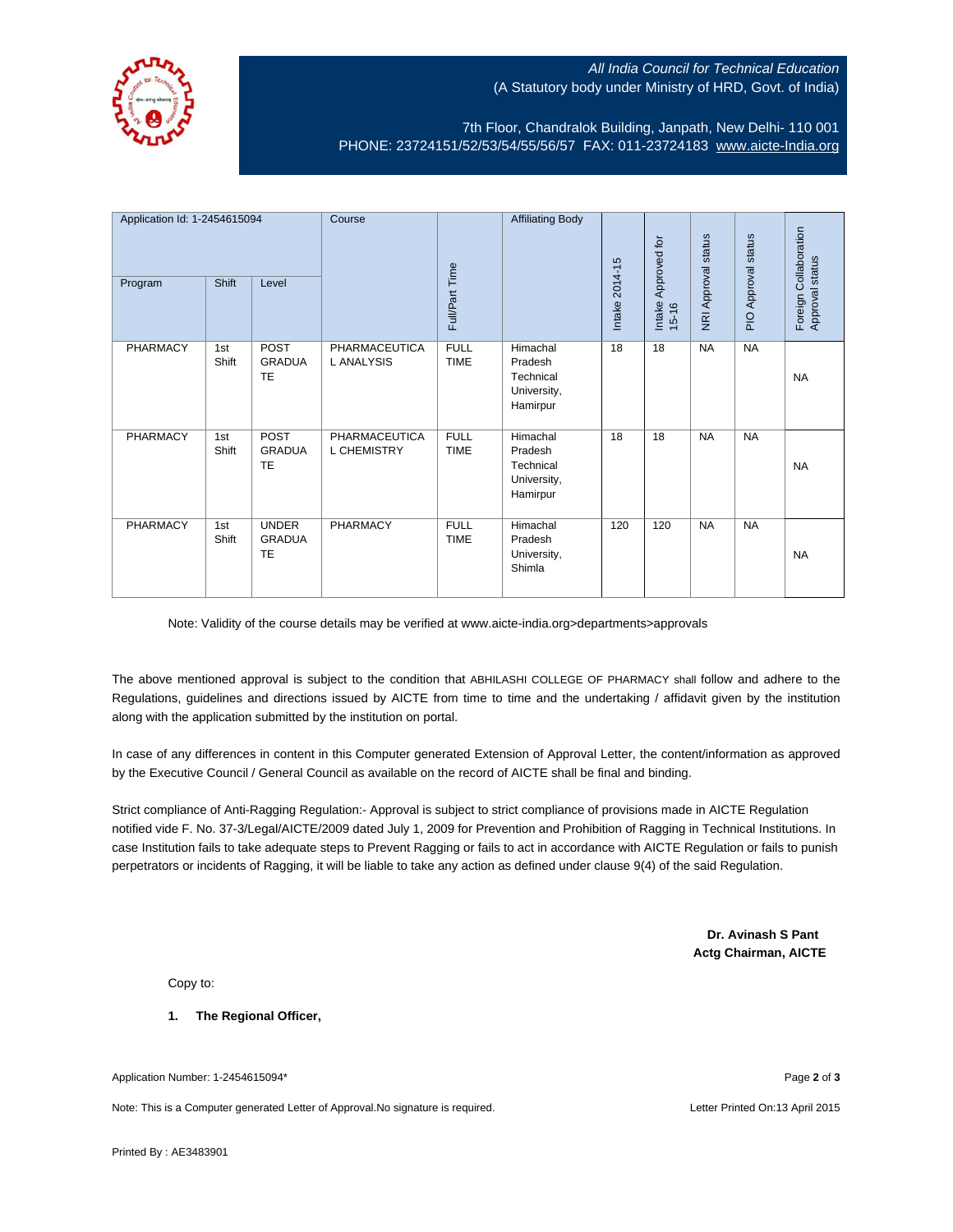

## All India Council for Technical Education (A Statutory body under Ministry of HRD, Govt. of India)

7th Floor, Chandralok Building, Janpath, New Delhi- 110 001 PHONE: 23724151/52/53/54/55/56/57 FAX: 011-23724183 [www.aicte-India.org](http://www.aicte-india.org/)

| Application Id: 1-2454615094<br>Program | Shift        | Level                                      | Course                       | Full/Part Time             | <b>Affiliating Body</b>                                     | Intake 2014-15 | Approved for<br>Intake<br>$15 - 16$ | NRI Approval status | PIO Approval status | Foreign Collaboration<br>Approval status |
|-----------------------------------------|--------------|--------------------------------------------|------------------------------|----------------------------|-------------------------------------------------------------|----------------|-------------------------------------|---------------------|---------------------|------------------------------------------|
| PHARMACY                                | 1st<br>Shift | POST<br><b>GRADUA</b><br><b>TE</b>         | PHARMACEUTICA<br>L ANALYSIS  | <b>FULL</b><br><b>TIME</b> | Himachal<br>Pradesh<br>Technical<br>University,<br>Hamirpur | 18             | 18                                  | <b>NA</b>           | <b>NA</b>           | <b>NA</b>                                |
| PHARMACY                                | 1st<br>Shift | POST<br><b>GRADUA</b><br>TE                | PHARMACEUTICA<br>L CHEMISTRY | <b>FULL</b><br><b>TIME</b> | Himachal<br>Pradesh<br>Technical<br>University,<br>Hamirpur | 18             | 18                                  | <b>NA</b>           | <b>NA</b>           | <b>NA</b>                                |
| PHARMACY                                | 1st<br>Shift | <b>UNDER</b><br><b>GRADUA</b><br><b>TE</b> | PHARMACY                     | <b>FULL</b><br><b>TIME</b> | Himachal<br>Pradesh<br>University,<br>Shimla                | 120            | 120                                 | <b>NA</b>           | <b>NA</b>           | <b>NA</b>                                |

Note: Validity of the course details may be verified at www.aicte-india.org>departments>approvals

The above mentioned approval is subject to the condition that ABHILASHI COLLEGE OF PHARMACY shall follow and adhere to the Regulations, guidelines and directions issued by AICTE from time to time and the undertaking / affidavit given by the institution along with the application submitted by the institution on portal.

In case of any differences in content in this Computer generated Extension of Approval Letter, the content/information as approved by the Executive Council / General Council as available on the record of AICTE shall be final and binding.

Strict compliance of Anti-Ragging Regulation:- Approval is subject to strict compliance of provisions made in AICTE Regulation notified vide F. No. 37-3/Legal/AICTE/2009 dated July 1, 2009 for Prevention and Prohibition of Ragging in Technical Institutions. In case Institution fails to take adequate steps to Prevent Ragging or fails to act in accordance with AICTE Regulation or fails to punish perpetrators or incidents of Ragging, it will be liable to take any action as defined under clause 9(4) of the said Regulation.

> **Dr. Avinash S Pant Actg Chairman, AICTE**

Copy to:

**1. The Regional Officer,**

Application Number: 1-2454615094\* Page **2** of **3**

Note: This is a Computer generated Letter of Approval.No signature is required. Letter According the state of the Letter Printed On:13 April 2015